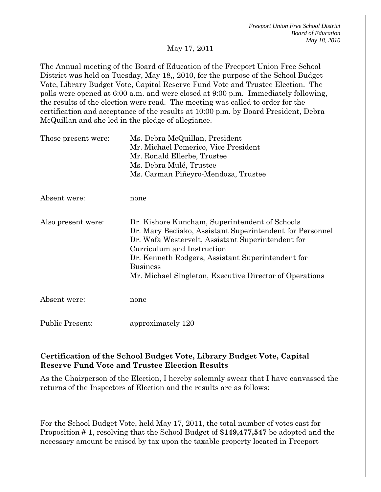May 17, 2011

The Annual meeting of the Board of Education of the Freeport Union Free School District was held on Tuesday, May 18,, 2010, for the purpose of the School Budget Vote, Library Budget Vote, Capital Reserve Fund Vote and Trustee Election. The polls were opened at 6:00 a.m. and were closed at 9:00 p.m. Immediately following, the results of the election were read. The meeting was called to order for the certification and acceptance of the results at 10:00 p.m. by Board President, Debra McQuillan and she led in the pledge of allegiance.

| Those present were:    | Ms. Debra McQuillan, President<br>Mr. Michael Pomerico, Vice President<br>Mr. Ronald Ellerbe, Trustee<br>Ms. Debra Mulé, Trustee<br>Ms. Carman Piñeyro-Mendoza, Trustee                                                                                                                                                          |
|------------------------|----------------------------------------------------------------------------------------------------------------------------------------------------------------------------------------------------------------------------------------------------------------------------------------------------------------------------------|
| Absent were:           | none                                                                                                                                                                                                                                                                                                                             |
| Also present were:     | Dr. Kishore Kuncham, Superintendent of Schools<br>Dr. Mary Bediako, Assistant Superintendent for Personnel<br>Dr. Wafa Westervelt, Assistant Superintendent for<br>Curriculum and Instruction<br>Dr. Kenneth Rodgers, Assistant Superintendent for<br><b>Business</b><br>Mr. Michael Singleton, Executive Director of Operations |
| Absent were:           | none                                                                                                                                                                                                                                                                                                                             |
| <b>Public Present:</b> | approximately 120                                                                                                                                                                                                                                                                                                                |

## **Certification of the School Budget Vote, Library Budget Vote, Capital Reserve Fund Vote and Trustee Election Results**

As the Chairperson of the Election, I hereby solemnly swear that I have canvassed the returns of the Inspectors of Election and the results are as follows:

For the School Budget Vote, held May 17, 2011, the total number of votes cast for Proposition **# 1**, resolving that the School Budget of **\$149,477,547** be adopted and the necessary amount be raised by tax upon the taxable property located in Freeport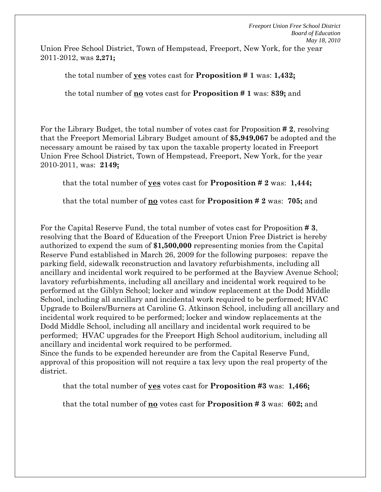Union Free School District, Town of Hempstead, Freeport, New York, for the year 2011-2012, was **2,271;**

the total number of **yes** votes cast for **Proposition # 1** was: **1,432;**

the total number of **no** votes cast for **Proposition # 1** was: **839;** and

For the Library Budget, the total number of votes cast for Proposition **# 2**, resolving that the Freeport Memorial Library Budget amount of **\$5,949,067** be adopted and the necessary amount be raised by tax upon the taxable property located in Freeport Union Free School District, Town of Hempstead, Freeport, New York, for the year 2010-2011, was: **2149;**

that the total number of **yes** votes cast for **Proposition # 2** was: **1,444;** 

that the total number of **no** votes cast for **Proposition # 2** was: **705;** and

For the Capital Reserve Fund, the total number of votes cast for Proposition **# 3**, resolving that the Board of Education of the Freeport Union Free District is hereby authorized to expend the sum of **\$1,500,000** representing monies from the Capital Reserve Fund established in March 26, 2009 for the following purposes: repave the parking field, sidewalk reconstruction and lavatory refurbishments, including all ancillary and incidental work required to be performed at the Bayview Avenue School; lavatory refurbishments, including all ancillary and incidental work required to be performed at the Giblyn School; locker and window replacement at the Dodd Middle School, including all ancillary and incidental work required to be performed; HVAC Upgrade to Boilers/Burners at Caroline G. Atkinson School, including all ancillary and incidental work required to be performed; locker and window replacements at the Dodd Middle School, including all ancillary and incidental work required to be performed; HVAC upgrades for the Freeport High School auditorium, including all ancillary and incidental work required to be performed.

Since the funds to be expended hereunder are from the Capital Reserve Fund, approval of this proposition will not require a tax levy upon the real property of the district.

that the total number of **yes** votes cast for **Proposition #3** was: **1,466;**

that the total number of **no** votes cast for **Proposition # 3** was: **602;** and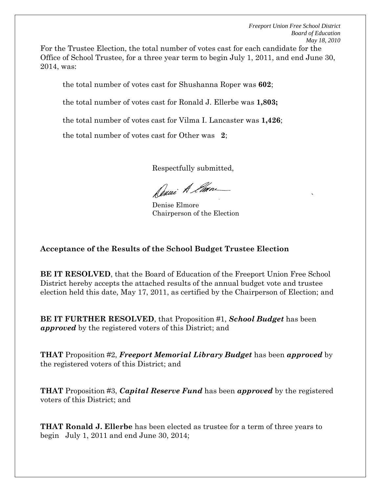For the Trustee Election, the total number of votes cast for each candidate for the Office of School Trustee, for a three year term to begin July 1, 2011, and end June 30, 2014, was:

the total number of votes cast for Shushanna Roper was **602**;

the total number of votes cast for Ronald J. Ellerbe was **1,803;** 

the total number of votes cast for Vilma I. Lancaster was **1,426**;

the total number of votes cast for Other was **2**;

Respectfully submitted,

Denne A Ema

the contract of the contract of the contract of the contract of the contract of the contract of the contract o<br>The contract of the contract of the contract of the contract of the contract of the contract of the contract o Denise Elmore Chairperson of the Election

## **Acceptance of the Results of the School Budget Trustee Election**

**BE IT RESOLVED**, that the Board of Education of the Freeport Union Free School District hereby accepts the attached results of the annual budget vote and trustee election held this date, May 17, 2011, as certified by the Chairperson of Election; and

**BE IT FURTHER RESOLVED**, that Proposition #1, *School Budget* has been *approved* by the registered voters of this District; and

**THAT** Proposition #2, *Freeport Memorial Library Budget* has been *approved* by the registered voters of this District; and

**THAT** Proposition #3, *Capital Reserve Fund* has been *approved* by the registered voters of this District; and

**THAT Ronald J. Ellerbe** has been elected as trustee for a term of three years to begin July 1, 2011 and end June 30, 2014;